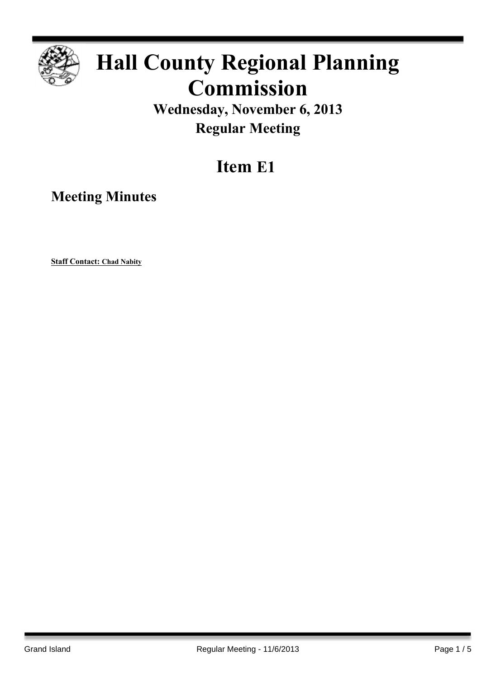

# **Hall County Regional Planning Commission**

### **Wednesday, November 6, 2013 Regular Meeting**

## **Item E1**

**Meeting Minutes**

**Staff Contact: Chad Nabity**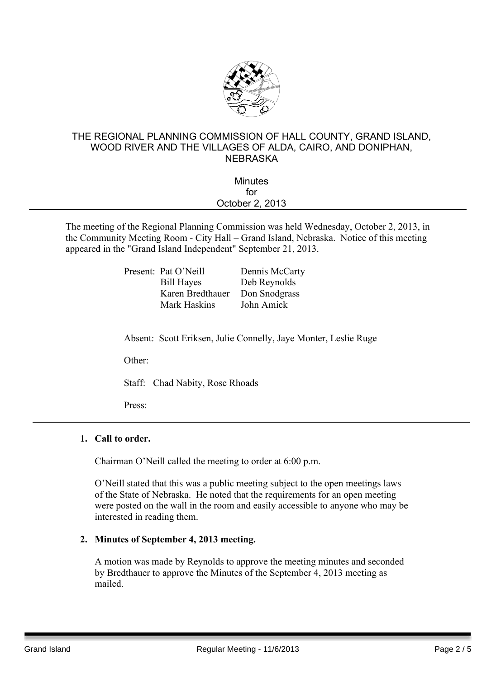

#### THE REGIONAL PLANNING COMMISSION OF HALL COUNTY, GRAND ISLAND, WOOD RIVER AND THE VILLAGES OF ALDA, CAIRO, AND DONIPHAN, **NEBRASKA**

| <b>Minutes</b>  |  |
|-----------------|--|
| for             |  |
| October 2, 2013 |  |
|                 |  |

The meeting of the Regional Planning Commission was held Wednesday, October 2, 2013, in the Community Meeting Room - City Hall – Grand Island, Nebraska. Notice of this meeting appeared in the "Grand Island Independent" September 21, 2013.

| Present: Pat O'Neill | Dennis McCarty |
|----------------------|----------------|
| <b>Bill Hayes</b>    | Deb Reynolds   |
| Karen Bredthauer     | Don Snodgrass  |
| Mark Haskins         | John Amick     |
|                      |                |

Absent: Scott Eriksen, Julie Connelly, Jaye Monter, Leslie Ruge

Other:

Staff: Chad Nabity, Rose Rhoads

Press:

#### **1. Call to order.**

Chairman O'Neill called the meeting to order at 6:00 p.m.

O'Neill stated that this was a public meeting subject to the open meetings laws of the State of Nebraska. He noted that the requirements for an open meeting were posted on the wall in the room and easily accessible to anyone who may be interested in reading them.

#### **2. Minutes of September 4, 2013 meeting.**

A motion was made by Reynolds to approve the meeting minutes and seconded by Bredthauer to approve the Minutes of the September 4, 2013 meeting as mailed.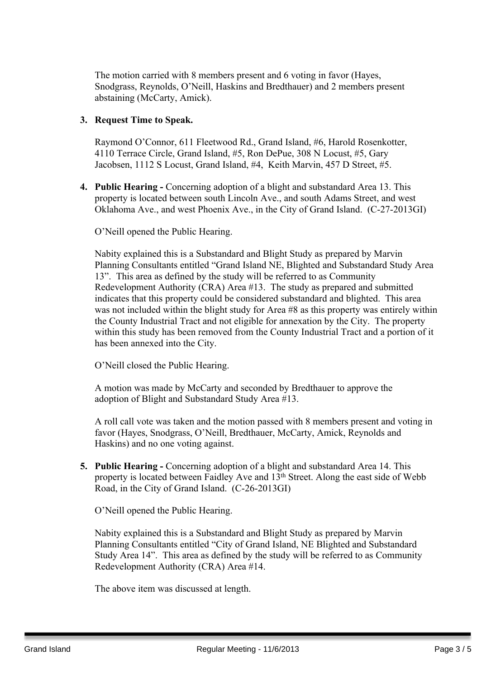The motion carried with 8 members present and 6 voting in favor (Hayes, Snodgrass, Reynolds, O'Neill, Haskins and Bredthauer) and 2 members present abstaining (McCarty, Amick).

#### **3. Request Time to Speak.**

Raymond O'Connor, 611 Fleetwood Rd., Grand Island, #6, Harold Rosenkotter, 4110 Terrace Circle, Grand Island, #5, Ron DePue, 308 N Locust, #5, Gary Jacobsen, 1112 S Locust, Grand Island, #4, Keith Marvin, 457 D Street, #5.

**4. Public Hearing -** Concerning adoption of a blight and substandard Area 13. This property is located between south Lincoln Ave., and south Adams Street, and west Oklahoma Ave., and west Phoenix Ave., in the City of Grand Island. (C-27-2013GI)

O'Neill opened the Public Hearing.

Nabity explained this is a Substandard and Blight Study as prepared by Marvin Planning Consultants entitled "Grand Island NE, Blighted and Substandard Study Area 13". This area as defined by the study will be referred to as Community Redevelopment Authority (CRA) Area #13. The study as prepared and submitted indicates that this property could be considered substandard and blighted. This area was not included within the blight study for Area #8 as this property was entirely within the County Industrial Tract and not eligible for annexation by the City. The property within this study has been removed from the County Industrial Tract and a portion of it has been annexed into the City.

O'Neill closed the Public Hearing.

A motion was made by McCarty and seconded by Bredthauer to approve the adoption of Blight and Substandard Study Area #13.

A roll call vote was taken and the motion passed with 8 members present and voting in favor (Hayes, Snodgrass, O'Neill, Bredthauer, McCarty, Amick, Reynolds and Haskins) and no one voting against.

**5. Public Hearing -** Concerning adoption of a blight and substandard Area 14. This property is located between Faidley Ave and 13th Street. Along the east side of Webb Road, in the City of Grand Island. (C-26-2013GI)

O'Neill opened the Public Hearing.

Nabity explained this is a Substandard and Blight Study as prepared by Marvin Planning Consultants entitled "City of Grand Island, NE Blighted and Substandard Study Area 14". This area as defined by the study will be referred to as Community Redevelopment Authority (CRA) Area #14.

The above item was discussed at length.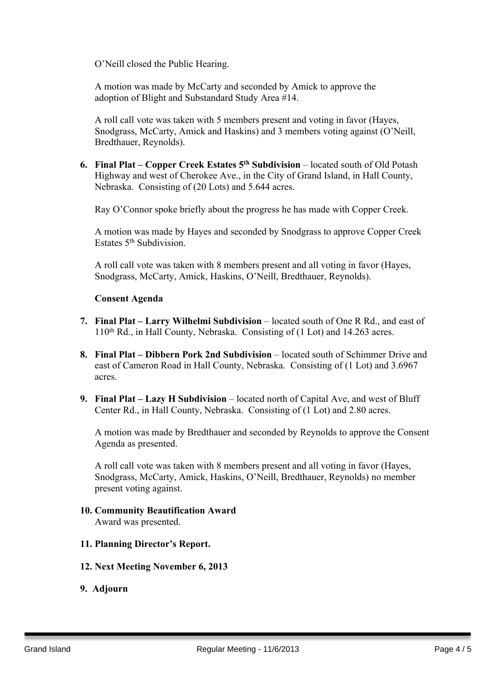O'Neill closed the Public Hearing.

A motion was made by McCarty and seconded by Amick to approve the adoption of Blight and Substandard Study Area #14.

A roll call vote was taken with 5 members present and voting in favor (Hayes, Snodgrass, McCarty, Amick and Haskins) and 3 members voting against (O'Neill, Bredthauer, Reynolds).

**6. Final Plat – Copper Creek Estates 5 th Subdivision** – located south of Old Potash Highway and west of Cherokee Ave., in the City of Grand Island, in Hall County, Nebraska. Consisting of (20 Lots) and 5.644 acres.

Ray O'Connor spoke briefly about the progress he has made with Copper Creek.

A motion was made by Hayes and seconded by Snodgrass to approve Copper Creek Estates 5<sup>th</sup> Subdivision.

A roll call vote was taken with 8 members present and all voting in favor (Hayes, Snodgrass, McCarty, Amick, Haskins, O'Neill, Bredthauer, Reynolds).

#### **Consent Agenda**

- **7. Final Plat – Larry Wilhelmi Subdivision** located south of One R Rd., and east of 110th Rd., in Hall County, Nebraska. Consisting of (1 Lot) and 14.263 acres.
- **8. Final Plat – Dibbern Pork 2nd Subdivision** located south of Schimmer Drive and east of Cameron Road in Hall County, Nebraska. Consisting of (1 Lot) and 3.6967 acres.
- **9. Final Plat – Lazy H Subdivision** located north of Capital Ave, and west of Bluff Center Rd., in Hall County, Nebraska. Consisting of (1 Lot) and 2.80 acres.

A motion was made by Bredthauer and seconded by Reynolds to approve the Consent Agenda as presented.

A roll call vote was taken with 8 members present and all voting in favor (Hayes, Snodgrass, McCarty, Amick, Haskins, O'Neill, Bredthauer, Reynolds) no member present voting against.

- **10. Community Beautification Award** Award was presented.
- **11. Planning Director's Report.**
- **12. Next Meeting November 6, 2013**
- **9. Adjourn**